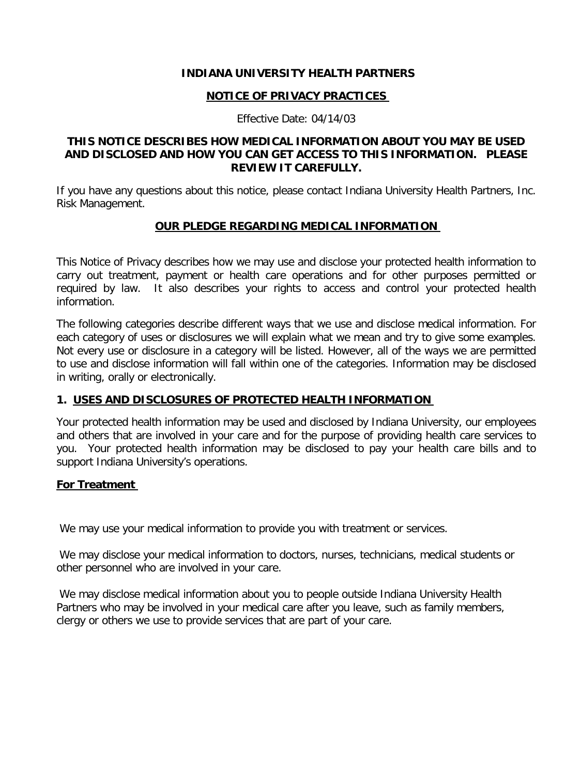#### **INDIANA UNIVERSITY HEALTH PARTNERS**

#### **NOTICE OF PRIVACY PRACTICES**

Effective Date: 04/14/03

## **THIS NOTICE DESCRIBES HOW MEDICAL INFORMATION ABOUT YOU MAY BE USED AND DISCLOSED AND HOW YOU CAN GET ACCESS TO THIS INFORMATION. PLEASE REVIEW IT CAREFULLY.**

If you have any questions about this notice, please contact Indiana University Health Partners, Inc. Risk Management.

#### **OUR PLEDGE REGARDING MEDICAL INFORMATION**

This Notice of Privacy describes how we may use and disclose your protected health information to carry out treatment, payment or health care operations and for other purposes permitted or required by law. It also describes your rights to access and control your protected health information.

The following categories describe different ways that we use and disclose medical information. For each category of uses or disclosures we will explain what we mean and try to give some examples. Not every use or disclosure in a category will be listed. However, all of the ways we are permitted to use and disclose information will fall within one of the categories. Information may be disclosed in writing, orally or electronically.

## **1. USES AND DISCLOSURES OF PROTECTED HEALTH INFORMATION**

Your protected health information may be used and disclosed by Indiana University, our employees and others that are involved in your care and for the purpose of providing health care services to you. Your protected health information may be disclosed to pay your health care bills and to support Indiana University's operations.

## **For Treatment**

We may use your medical information to provide you with treatment or services.

We may disclose your medical information to doctors, nurses, technicians, medical students or other personnel who are involved in your care.

We may disclose medical information about you to people outside Indiana University Health Partners who may be involved in your medical care after you leave, such as family members, clergy or others we use to provide services that are part of your care.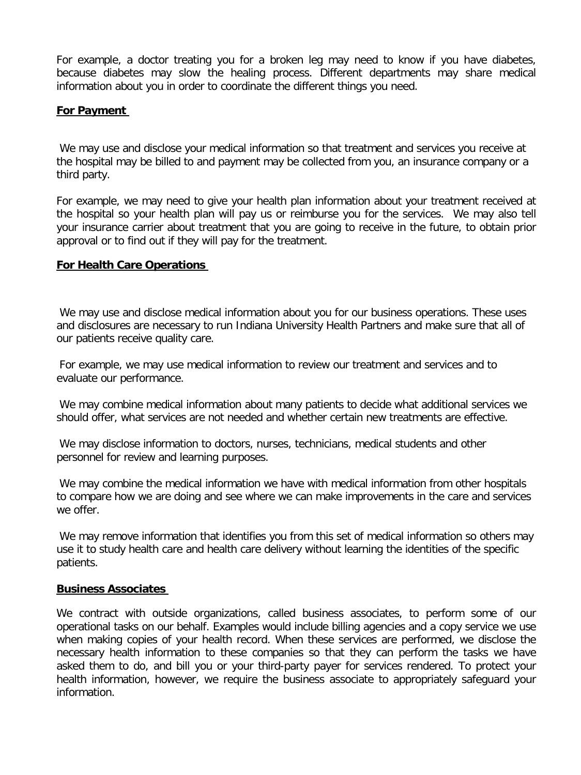For example, a doctor treating you for a broken leg may need to know if you have diabetes, because diabetes may slow the healing process. Different departments may share medical information about you in order to coordinate the different things you need.

#### **For Payment**

We may use and disclose your medical information so that treatment and services you receive at the hospital may be billed to and payment may be collected from you, an insurance company or a third party.

For example, we may need to give your health plan information about your treatment received at the hospital so your health plan will pay us or reimburse you for the services. We may also tell your insurance carrier about treatment that you are going to receive in the future, to obtain prior approval or to find out if they will pay for the treatment.

#### **For Health Care Operations**

We may use and disclose medical information about you for our business operations. These uses and disclosures are necessary to run Indiana University Health Partners and make sure that all of our patients receive quality care.

For example, we may use medical information to review our treatment and services and to evaluate our performance.

We may combine medical information about many patients to decide what additional services we should offer, what services are not needed and whether certain new treatments are effective.

We may disclose information to doctors, nurses, technicians, medical students and other personnel for review and learning purposes.

We may combine the medical information we have with medical information from other hospitals to compare how we are doing and see where we can make improvements in the care and services we offer.

We may remove information that identifies you from this set of medical information so others may use it to study health care and health care delivery without learning the identities of the specific patients.

#### **Business Associates**

We contract with outside organizations, called business associates, to perform some of our operational tasks on our behalf. Examples would include billing agencies and a copy service we use when making copies of your health record. When these services are performed, we disclose the necessary health information to these companies so that they can perform the tasks we have asked them to do, and bill you or your third-party payer for services rendered. To protect your health information, however, we require the business associate to appropriately safeguard your information.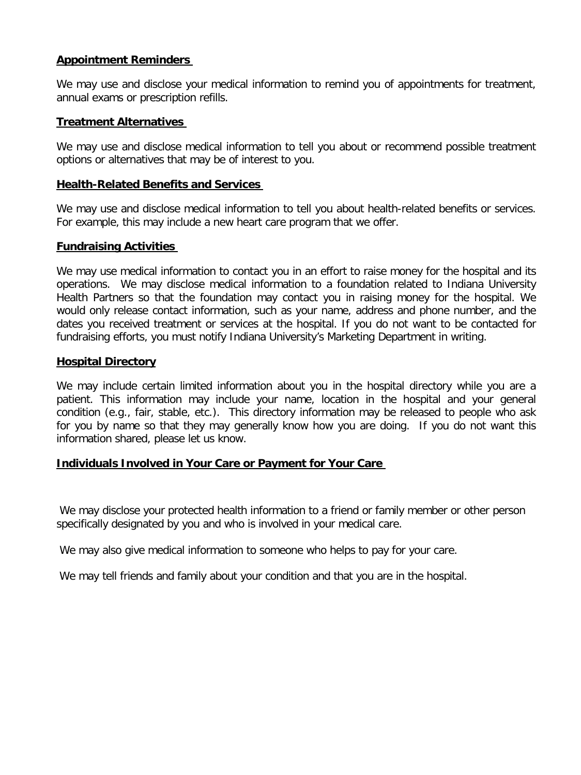## **Appointment Reminders**

We may use and disclose your medical information to remind you of appointments for treatment, annual exams or prescription refills.

## **Treatment Alternatives**

We may use and disclose medical information to tell you about or recommend possible treatment options or alternatives that may be of interest to you.

#### **Health-Related Benefits and Services**

We may use and disclose medical information to tell you about health-related benefits or services. For example, this may include a new heart care program that we offer.

#### **Fundraising Activities**

We may use medical information to contact you in an effort to raise money for the hospital and its operations. We may disclose medical information to a foundation related to Indiana University Health Partners so that the foundation may contact you in raising money for the hospital. We would only release contact information, such as your name, address and phone number, and the dates you received treatment or services at the hospital. If you do not want to be contacted for fundraising efforts, you must notify Indiana University's Marketing Department in writing.

#### **Hospital Directory**

We may include certain limited information about you in the hospital directory while you are a patient. This information may include your name, location in the hospital and your general condition (e.g., fair, stable, etc.). This directory information may be released to people who ask for you by name so that they may generally know how you are doing. If you do not want this information shared, please let us know.

## **Individuals Involved in Your Care or Payment for Your Care**

We may disclose your protected health information to a friend or family member or other person specifically designated by you and who is involved in your medical care.

We may also give medical information to someone who helps to pay for your care.

We may tell friends and family about your condition and that you are in the hospital.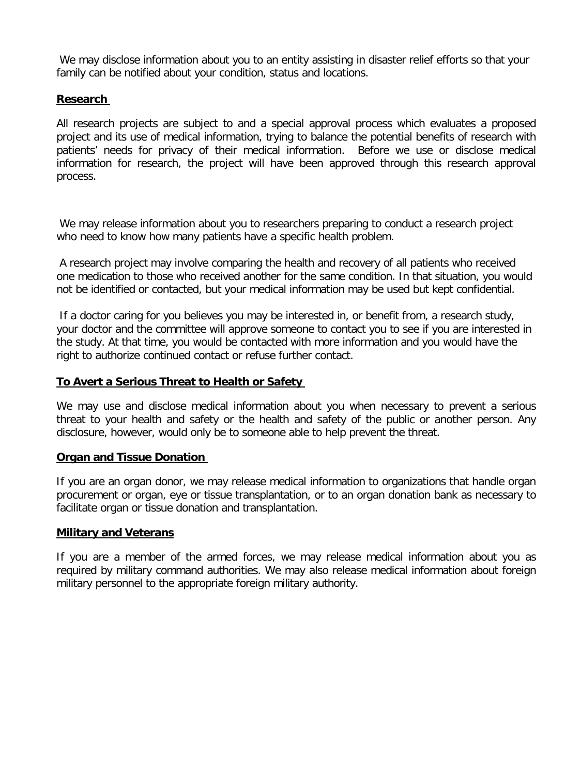We may disclose information about you to an entity assisting in disaster relief efforts so that your family can be notified about your condition, status and locations.

## **Research**

All research projects are subject to and a special approval process which evaluates a proposed project and its use of medical information, trying to balance the potential benefits of research with patients' needs for privacy of their medical information. Before we use or disclose medical information for research, the project will have been approved through this research approval process.

We may release information about you to researchers preparing to conduct a research project who need to know how many patients have a specific health problem.

A research project may involve comparing the health and recovery of all patients who received one medication to those who received another for the same condition. In that situation, you would not be identified or contacted, but your medical information may be used but kept confidential.

If a doctor caring for you believes you may be interested in, or benefit from, a research study, your doctor and the committee will approve someone to contact you to see if you are interested in the study. At that time, you would be contacted with more information and you would have the right to authorize continued contact or refuse further contact.

#### **To Avert a Serious Threat to Health or Safety**

We may use and disclose medical information about you when necessary to prevent a serious threat to your health and safety or the health and safety of the public or another person. Any disclosure, however, would only be to someone able to help prevent the threat.

#### **Organ and Tissue Donation**

If you are an organ donor, we may release medical information to organizations that handle organ procurement or organ, eye or tissue transplantation, or to an organ donation bank as necessary to facilitate organ or tissue donation and transplantation.

#### **Military and Veterans**

If you are a member of the armed forces, we may release medical information about you as required by military command authorities. We may also release medical information about foreign military personnel to the appropriate foreign military authority.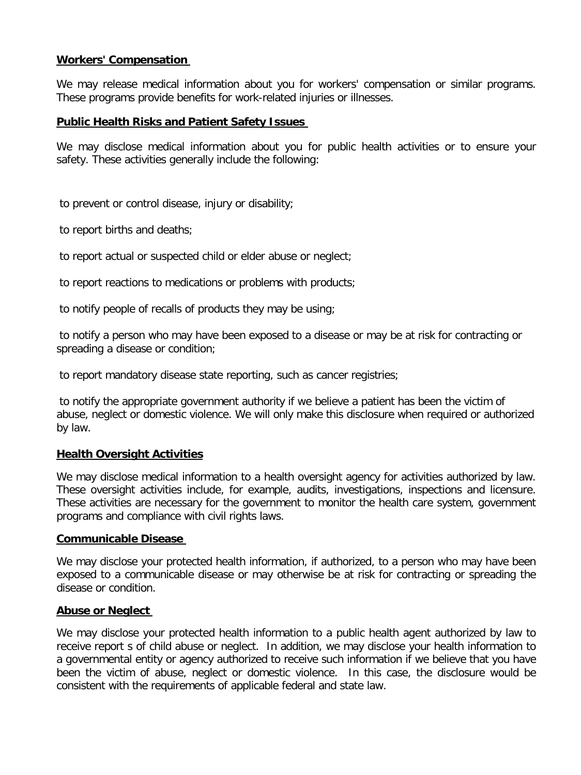## **Workers' Compensation**

We may release medical information about you for workers' compensation or similar programs. These programs provide benefits for work-related injuries or illnesses.

## **Public Health Risks and Patient Safety Issues**

We may disclose medical information about you for public health activities or to ensure your safety. These activities generally include the following:

to prevent or control disease, injury or disability;

to report births and deaths;

to report actual or suspected child or elder abuse or neglect;

to report reactions to medications or problems with products;

to notify people of recalls of products they may be using;

to notify a person who may have been exposed to a disease or may be at risk for contracting or spreading a disease or condition;

to report mandatory disease state reporting, such as cancer registries;

to notify the appropriate government authority if we believe a patient has been the victim of abuse, neglect or domestic violence. We will only make this disclosure when required or authorized by law.

## **Health Oversight Activities**

We may disclose medical information to a health oversight agency for activities authorized by law. These oversight activities include, for example, audits, investigations, inspections and licensure. These activities are necessary for the government to monitor the health care system, government programs and compliance with civil rights laws.

## **Communicable Disease**

We may disclose your protected health information, if authorized, to a person who may have been exposed to a communicable disease or may otherwise be at risk for contracting or spreading the disease or condition.

## **Abuse or Neglect**

We may disclose your protected health information to a public health agent authorized by law to receive report s of child abuse or neglect. In addition, we may disclose your health information to a governmental entity or agency authorized to receive such information if we believe that you have been the victim of abuse, neglect or domestic violence. In this case, the disclosure would be consistent with the requirements of applicable federal and state law.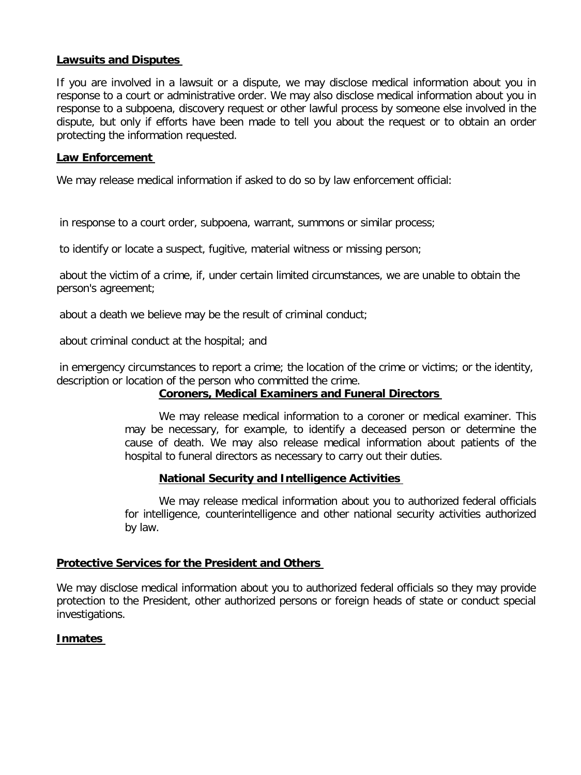## **Lawsuits and Disputes**

If you are involved in a lawsuit or a dispute, we may disclose medical information about you in response to a court or administrative order. We may also disclose medical information about you in response to a subpoena, discovery request or other lawful process by someone else involved in the dispute, but only if efforts have been made to tell you about the request or to obtain an order protecting the information requested.

## **Law Enforcement**

We may release medical information if asked to do so by law enforcement official:

in response to a court order, subpoena, warrant, summons or similar process;

to identify or locate a suspect, fugitive, material witness or missing person;

about the victim of a crime, if, under certain limited circumstances, we are unable to obtain the person's agreement;

about a death we believe may be the result of criminal conduct;

about criminal conduct at the hospital; and

in emergency circumstances to report a crime; the location of the crime or victims; or the identity, description or location of the person who committed the crime.

## **Coroners, Medical Examiners and Funeral Directors**

We may release medical information to a coroner or medical examiner. This may be necessary, for example, to identify a deceased person or determine the cause of death. We may also release medical information about patients of the hospital to funeral directors as necessary to carry out their duties.

# **National Security and Intelligence Activities**

We may release medical information about you to authorized federal officials for intelligence, counterintelligence and other national security activities authorized by law.

## **Protective Services for the President and Others**

We may disclose medical information about you to authorized federal officials so they may provide protection to the President, other authorized persons or foreign heads of state or conduct special investigations.

# **Inmates**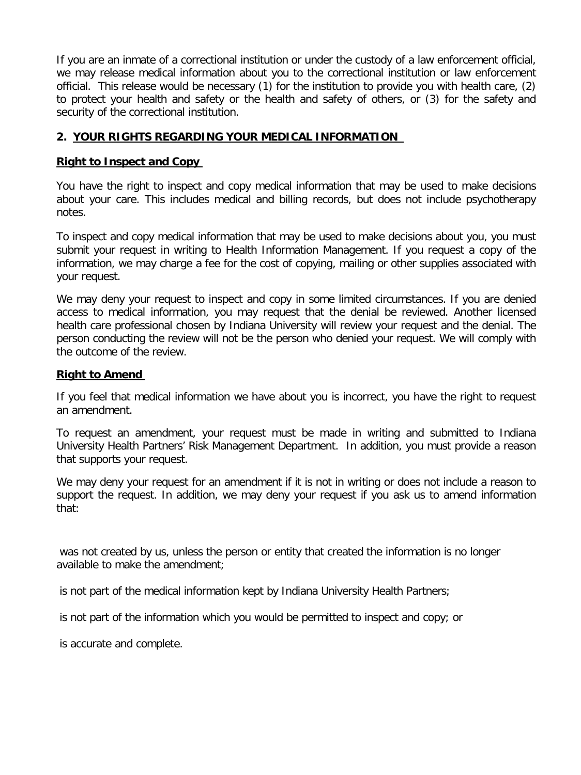If you are an inmate of a correctional institution or under the custody of a law enforcement official, we may release medical information about you to the correctional institution or law enforcement official. This release would be necessary (1) for the institution to provide you with health care, (2) to protect your health and safety or the health and safety of others, or (3) for the safety and security of the correctional institution.

# **2. YOUR RIGHTS REGARDING YOUR MEDICAL INFORMATION**

## **Right to Inspect and Copy**

You have the right to inspect and copy medical information that may be used to make decisions about your care. This includes medical and billing records, but does not include psychotherapy notes.

To inspect and copy medical information that may be used to make decisions about you, you must submit your request in writing to Health Information Management. If you request a copy of the information, we may charge a fee for the cost of copying, mailing or other supplies associated with your request.

We may deny your request to inspect and copy in some limited circumstances. If you are denied access to medical information, you may request that the denial be reviewed. Another licensed health care professional chosen by Indiana University will review your request and the denial. The person conducting the review will not be the person who denied your request. We will comply with the outcome of the review.

# **Right to Amend**

If you feel that medical information we have about you is incorrect, you have the right to request an amendment.

To request an amendment, your request must be made in writing and submitted to Indiana University Health Partners' Risk Management Department. In addition, you must provide a reason that supports your request.

We may deny your request for an amendment if it is not in writing or does not include a reason to support the request. In addition, we may deny your request if you ask us to amend information that:

was not created by us, unless the person or entity that created the information is no longer available to make the amendment;

is not part of the medical information kept by Indiana University Health Partners;

is not part of the information which you would be permitted to inspect and copy; or

is accurate and complete.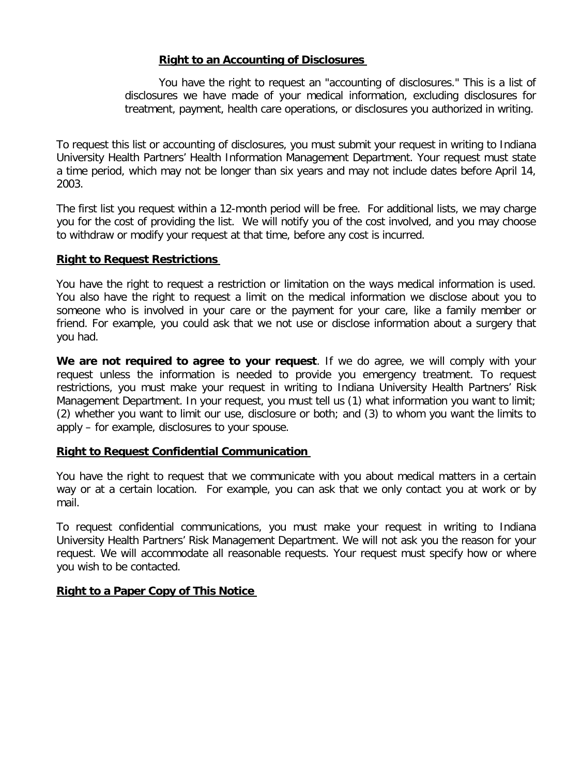## **Right to an Accounting of Disclosures**

You have the right to request an "accounting of disclosures." This is a list of disclosures we have made of your medical information, excluding disclosures for treatment, payment, health care operations, or disclosures you authorized in writing.

To request this list or accounting of disclosures, you must submit your request in writing to Indiana University Health Partners' Health Information Management Department. Your request must state a time period, which may not be longer than six years and may not include dates before April 14, 2003.

The first list you request within a 12-month period will be free. For additional lists, we may charge you for the cost of providing the list. We will notify you of the cost involved, and you may choose to withdraw or modify your request at that time, before any cost is incurred.

#### **Right to Request Restrictions**

You have the right to request a restriction or limitation on the ways medical information is used. You also have the right to request a limit on the medical information we disclose about you to someone who is involved in your care or the payment for your care, like a family member or friend. For example, you could ask that we not use or disclose information about a surgery that you had.

**We are not required to agree to your request**. If we do agree, we will comply with your request unless the information is needed to provide you emergency treatment. To request restrictions, you must make your request in writing to Indiana University Health Partners' Risk Management Department. In your request, you must tell us (1) what information you want to limit; (2) whether you want to limit our use, disclosure or both; and (3) to whom you want the limits to apply – for example, disclosures to your spouse.

## **Right to Request Confidential Communication**

You have the right to request that we communicate with you about medical matters in a certain way or at a certain location. For example, you can ask that we only contact you at work or by mail.

To request confidential communications, you must make your request in writing to Indiana University Health Partners' Risk Management Department. We will not ask you the reason for your request. We will accommodate all reasonable requests. Your request must specify how or where you wish to be contacted.

## **Right to a Paper Copy of This Notice**